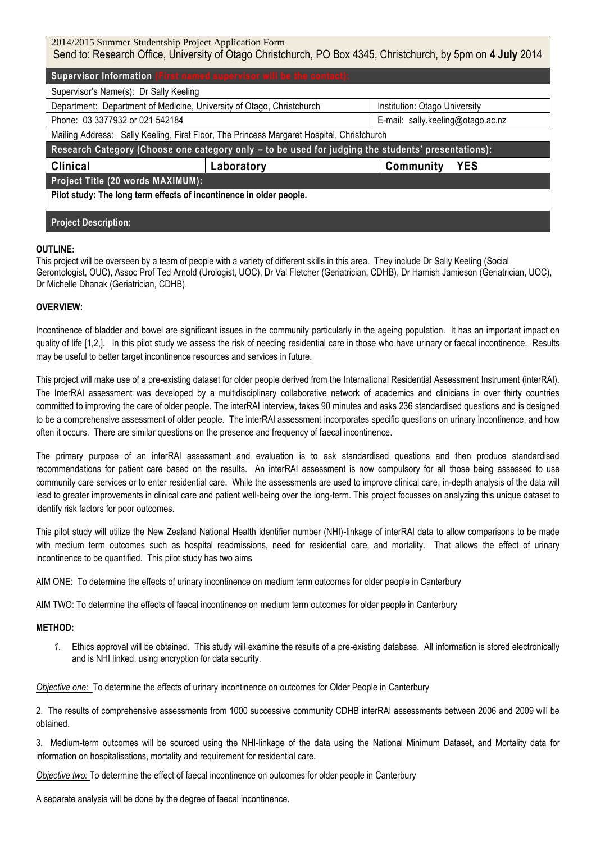| 2014/2015 Summer Studentship Project Application Form                                                        |            |                                   |
|--------------------------------------------------------------------------------------------------------------|------------|-----------------------------------|
| Send to: Research Office, University of Otago Christchurch, PO Box 4345, Christchurch, by 5pm on 4 July 2014 |            |                                   |
| Supervisor Information (First named supervisor will be the contact):                                         |            |                                   |
| Supervisor's Name(s): Dr Sally Keeling                                                                       |            |                                   |
| Department: Department of Medicine, University of Otago, Christchurch                                        |            | Institution: Otago University     |
| Phone: 03 3377932 or 021 542184                                                                              |            | E-mail: sally.keeling@otago.ac.nz |
| Mailing Address: Sally Keeling, First Floor, The Princess Margaret Hospital, Christchurch                    |            |                                   |
| Research Category (Choose one category only - to be used for judging the students' presentations):           |            |                                   |
| <b>Clinical</b>                                                                                              | Laboratory | <b>YES</b><br>Community           |
| Project Title (20 words MAXIMUM):                                                                            |            |                                   |
| Pilot study: The long term effects of incontinence in older people.                                          |            |                                   |
|                                                                                                              |            |                                   |
| <b>Project Description:</b>                                                                                  |            |                                   |
|                                                                                                              |            |                                   |

# **OUTLINE:**

This project will be overseen by a team of people with a variety of different skills in this area. They include Dr Sally Keeling (Social Gerontologist, OUC), Assoc Prof Ted Arnold (Urologist, UOC), Dr Val Fletcher (Geriatrician, CDHB), Dr Hamish Jamieson (Geriatrician, UOC), Dr Michelle Dhanak (Geriatrician, CDHB).

# **OVERVIEW:**

Incontinence of bladder and bowel are significant issues in the community particularly in the ageing population. It has an important impact on quality of life [1,2,]. In this pilot study we assess the risk of needing residential care in those who have urinary or faecal incontinence. Results may be useful to better target incontinence resources and services in future.

This project will make use of a pre-existing dataset for older people derived from the International Residential Assessment Instrument (interRAI). The InterRAI assessment was developed by a multidisciplinary collaborative network of academics and clinicians in over thirty countries committed to improving the care of older people. The interRAI interview, takes 90 minutes and asks 236 standardised questions and is designed to be a comprehensive assessment of older people. The interRAI assessment incorporates specific questions on urinary incontinence, and how often it occurs. There are similar questions on the presence and frequency of faecal incontinence.

The primary purpose of an interRAI assessment and evaluation is to ask standardised questions and then produce standardised recommendations for patient care based on the results. An interRAI assessment is now compulsory for all those being assessed to use community care services or to enter residential care. While the assessments are used to improve clinical care, in-depth analysis of the data will lead to greater improvements in clinical care and patient well-being over the long-term. This project focusses on analyzing this unique dataset to identify risk factors for poor outcomes.

This pilot study will utilize the New Zealand National Health identifier number (NHI)-linkage of interRAI data to allow comparisons to be made with medium term outcomes such as hospital readmissions, need for residential care, and mortality. That allows the effect of urinary incontinence to be quantified. This pilot study has two aims

AIM ONE: To determine the effects of urinary incontinence on medium term outcomes for older people in Canterbury

AIM TWO: To determine the effects of faecal incontinence on medium term outcomes for older people in Canterbury

## **METHOD:**

*1.* Ethics approval will be obtained. This study will examine the results of a pre-existing database. All information is stored electronically and is NHI linked, using encryption for data security.

*Objective one:* To determine the effects of urinary incontinence on outcomes for Older People in Canterbury

2.The results of comprehensive assessments from 1000 successive community CDHB interRAI assessments between 2006 and 2009 will be obtained.

3. Medium-term outcomes will be sourced using the NHI-linkage of the data using the National Minimum Dataset, and Mortality data for information on hospitalisations, mortality and requirement for residential care.

*Objective two:* To determine the effect of faecal incontinence on outcomes for older people in Canterbury

A separate analysis will be done by the degree of faecal incontinence.